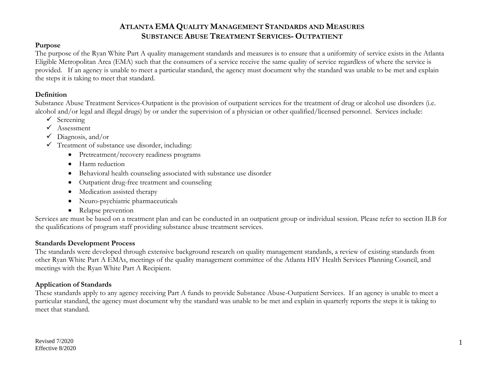## **ATLANTA EMA QUALITY MANAGEMENT STANDARDS AND MEASURES SUBSTANCE ABUSE TREATMENT SERVICES- OUTPATIENT**

#### **Purpose**

The purpose of the Ryan White Part A quality management standards and measures is to ensure that a uniformity of service exists in the Atlanta Eligible Metropolitan Area (EMA) such that the consumers of a service receive the same quality of service regardless of where the service is provided. If an agency is unable to meet a particular standard, the agency must document why the standard was unable to be met and explain the steps it is taking to meet that standard.

#### **Definition**

Substance Abuse Treatment Services-Outpatient is the provision of outpatient services for the treatment of drug or alcohol use disorders (i.e. alcohol and/or legal and illegal drugs) by or under the supervision of a physician or other qualified/licensed personnel. Services include:

- $\checkmark$  Screening
- $\checkmark$  Assessment
- $\checkmark$  Diagnosis, and/or
- $\checkmark$  Treatment of substance use disorder, including:
	- Pretreatment/recovery readiness programs
	- Harm reduction
	- Behavioral health counseling associated with substance use disorder
	- Outpatient drug-free treatment and counseling
	- Medication assisted therapy
	- Neuro-psychiatric pharmaceuticals
	- Relapse prevention

Services are must be based on a treatment plan and can be conducted in an outpatient group or individual session. Please refer to section II.B for the qualifications of program staff providing substance abuse treatment services.

#### **Standards Development Process**

The standards were developed through extensive background research on quality management standards, a review of existing standards from other Ryan White Part A EMAs, meetings of the quality management committee of the Atlanta HIV Health Services Planning Council, and meetings with the Ryan White Part A Recipient.

## **Application of Standards**

These standards apply to any agency receiving Part A funds to provide Substance Abuse-Outpatient Services. If an agency is unable to meet a particular standard, the agency must document why the standard was unable to be met and explain in quarterly reports the steps it is taking to meet that standard.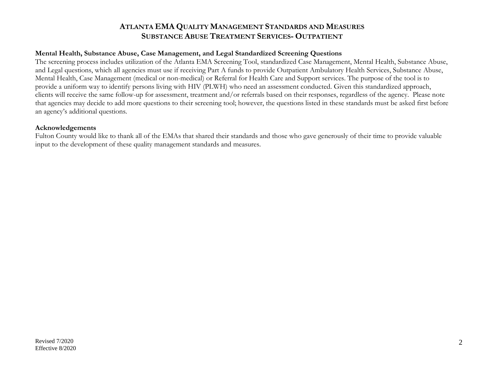## **ATLANTA EMA QUALITY MANAGEMENT STANDARDS AND MEASURES SUBSTANCE ABUSE TREATMENT SERVICES- OUTPATIENT**

#### **Mental Health, Substance Abuse, Case Management, and Legal Standardized Screening Questions**

The screening process includes utilization of the Atlanta EMA Screening Tool, standardized Case Management, Mental Health, Substance Abuse, and Legal questions, which all agencies must use if receiving Part A funds to provide Outpatient Ambulatory Health Services, Substance Abuse, Mental Health, Case Management (medical or non-medical) or Referral for Health Care and Support services. The purpose of the tool is to provide a uniform way to identify persons living with HIV (PLWH) who need an assessment conducted. Given this standardized approach, clients will receive the same follow-up for assessment, treatment and/or referrals based on their responses, regardless of the agency. Please note that agencies may decide to add more questions to their screening tool; however, the questions listed in these standards must be asked first before an agency's additional questions.

#### **Acknowledgements**

Fulton County would like to thank all of the EMAs that shared their standards and those who gave generously of their time to provide valuable input to the development of these quality management standards and measures.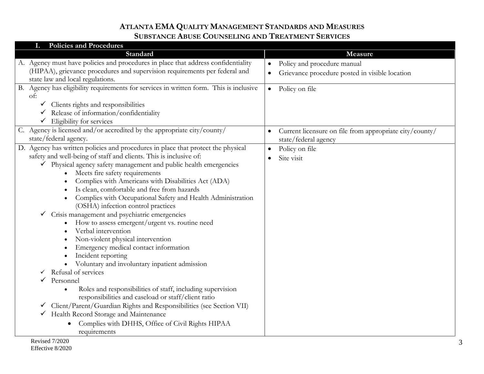| I. Policies and Procedures                                                             |                                                                      |
|----------------------------------------------------------------------------------------|----------------------------------------------------------------------|
| Standard                                                                               | Measure                                                              |
| A. Agency must have policies and procedures in place that address confidentiality      | Policy and procedure manual<br>$\bullet$                             |
| (HIPAA), grievance procedures and supervision requirements per federal and             | Grievance procedure posted in visible location                       |
| state law and local regulations.                                                       |                                                                      |
| B. Agency has eligibility requirements for services in written form. This is inclusive | Policy on file<br>$\bullet$                                          |
| of:                                                                                    |                                                                      |
| $\checkmark$ Clients rights and responsibilities                                       |                                                                      |
| Release of information/confidentiality                                                 |                                                                      |
| $\checkmark$ Eligibility for services                                                  |                                                                      |
| C. Agency is licensed and/or accredited by the appropriate city/county/                | Current licensure on file from appropriate city/county/<br>$\bullet$ |
| state/federal agency.                                                                  | state/federal agency                                                 |
| D. Agency has written policies and procedures in place that protect the physical       | Policy on file<br>$\bullet$                                          |
| safety and well-being of staff and clients. This is inclusive of:                      | Site visit<br>$\bullet$                                              |
| $\checkmark$ Physical agency safety management and public health emergencies           |                                                                      |
| Meets fire safety requirements                                                         |                                                                      |
| Complies with Americans with Disabilities Act (ADA)                                    |                                                                      |
| Is clean, comfortable and free from hazards                                            |                                                                      |
| Complies with Occupational Safety and Health Administration                            |                                                                      |
| (OSHA) infection control practices                                                     |                                                                      |
| Crisis management and psychiatric emergencies                                          |                                                                      |
| How to assess emergent/urgent vs. routine need                                         |                                                                      |
| Verbal intervention                                                                    |                                                                      |
| Non-violent physical intervention                                                      |                                                                      |
| Emergency medical contact information                                                  |                                                                      |
| Incident reporting                                                                     |                                                                      |
| Voluntary and involuntary inpatient admission                                          |                                                                      |
| Refusal of services                                                                    |                                                                      |
| Personnel                                                                              |                                                                      |
| Roles and responsibilities of staff, including supervision                             |                                                                      |
| responsibilities and caseload or staff/client ratio                                    |                                                                      |
| Client/Parent/Guardian Rights and Responsibilities (see Section VII)<br>$\checkmark$   |                                                                      |
| Health Record Storage and Maintenance                                                  |                                                                      |
| Complies with DHHS, Office of Civil Rights HIPAA                                       |                                                                      |
| requirements                                                                           |                                                                      |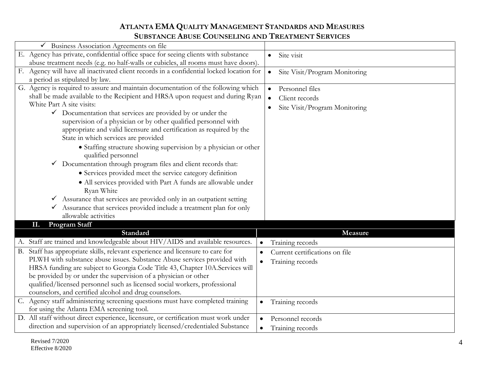| $\checkmark$ Business Association Agreements on file                                             |                                            |
|--------------------------------------------------------------------------------------------------|--------------------------------------------|
| E. Agency has private, confidential office space for seeing clients with substance               | Site visit<br>$\bullet$                    |
| abuse treatment needs (e.g. no half-walls or cubicles, all rooms must have doors).               |                                            |
| F. Agency will have all inactivated client records in a confidential locked location for         | Site Visit/Program Monitoring<br>$\bullet$ |
| a period as stipulated by law.                                                                   |                                            |
| G. Agency is required to assure and maintain documentation of the following which                | Personnel files<br>$\bullet$               |
| shall be made available to the Recipient and HRSA upon request and during Ryan                   | Client records<br>$\bullet$                |
| White Part A site visits:                                                                        | Site Visit/Program Monitoring<br>$\bullet$ |
| $\checkmark$ Documentation that services are provided by or under the                            |                                            |
| supervision of a physician or by other qualified personnel with                                  |                                            |
| appropriate and valid licensure and certification as required by the                             |                                            |
| State in which services are provided                                                             |                                            |
| • Staffing structure showing supervision by a physician or other<br>qualified personnel          |                                            |
| Documentation through program files and client records that:                                     |                                            |
| • Services provided meet the service category definition                                         |                                            |
| • All services provided with Part A funds are allowable under<br>Ryan White                      |                                            |
| $\checkmark$ Assurance that services are provided only in an outpatient setting                  |                                            |
| Assurance that services provided include a treatment plan for only<br>$\checkmark$               |                                            |
| allowable activities                                                                             |                                            |
| <b>Program Staff</b><br>П.                                                                       |                                            |
| Standard                                                                                         | Measure                                    |
| A. Staff are trained and knowledgeable about HIV/AIDS and available resources.                   | Training records<br>$\bullet$              |
| B. Staff has appropriate skills, relevant experience and licensure to care for<br>$\bullet$      | Current certifications on file             |
| PLWH with substance abuse issues. Substance Abuse services provided with<br>$\bullet$            | Training records                           |
| HRSA funding are subject to Georgia Code Title 43, Chapter 10A.Services will                     |                                            |
| be provided by or under the supervision of a physician or other                                  |                                            |
| qualified/licensed personnel such as licensed social workers, professional                       |                                            |
| counselors, and certified alcohol and drug counselors.                                           |                                            |
| C. Agency staff administering screening questions must have completed training<br>$\bullet$      | Training records                           |
| for using the Atlanta EMA screening tool.                                                        |                                            |
| D. All staff without direct experience, licensure, or certification must work under<br>$\bullet$ | Personnel records                          |
| direction and supervision of an appropriately licensed/credentialed Substance                    | Training records                           |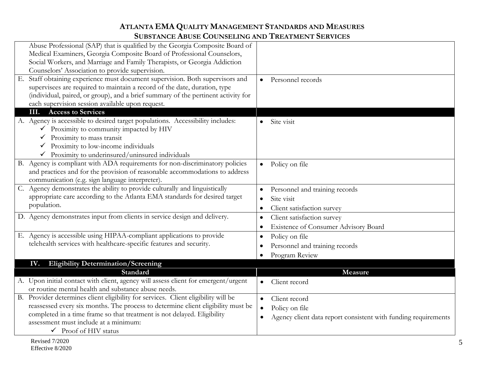|    | Abuse Professional (SAP) that is qualified by the Georgia Composite Board of       |                                                                |
|----|------------------------------------------------------------------------------------|----------------------------------------------------------------|
|    | Medical Examiners, Georgia Composite Board of Professional Counselors,             |                                                                |
|    | Social Workers, and Marriage and Family Therapists, or Georgia Addiction           |                                                                |
|    | Counselors' Association to provide supervision.                                    |                                                                |
| Е. | Staff obtaining experience must document supervision. Both supervisors and         | Personnel records<br>$\bullet$                                 |
|    | supervisees are required to maintain a record of the date, duration, type          |                                                                |
|    | (individual, paired, or group), and a brief summary of the pertinent activity for  |                                                                |
|    | each supervision session available upon request.                                   |                                                                |
|    | <b>Access to Services</b><br>Ш.                                                    |                                                                |
|    | A. Agency is accessible to desired target populations. Accessibility includes:     | Site visit                                                     |
|    | $\checkmark$ Proximity to community impacted by HIV                                |                                                                |
|    | Proximity to mass transit                                                          |                                                                |
|    | Proximity to low-income individuals                                                |                                                                |
|    | $\checkmark$ Proximity to underinsured/uninsured individuals                       |                                                                |
|    | B. Agency is compliant with ADA requirements for non-discriminatory policies       | Policy on file<br>$\bullet$                                    |
|    | and practices and for the provision of reasonable accommodations to address        |                                                                |
|    | communication (e.g. sign language interpreter).                                    |                                                                |
|    | C. Agency demonstrates the ability to provide culturally and linguistically        | Personnel and training records                                 |
|    | appropriate care according to the Atlanta EMA standards for desired target         | Site visit                                                     |
|    | population.                                                                        | Client satisfaction survey                                     |
|    | D. Agency demonstrates input from clients in service design and delivery.          | Client satisfaction survey                                     |
|    |                                                                                    | Existence of Consumer Advisory Board                           |
|    | E. Agency is accessible using HIPAA-compliant applications to provide              |                                                                |
|    | telehealth services with healthcare-specific features and security.                | Policy on file                                                 |
|    |                                                                                    | Personnel and training records                                 |
|    |                                                                                    | Program Review                                                 |
|    | <b>Eligibility Determination/Screening</b><br>IV.                                  |                                                                |
|    | Standard                                                                           | Measure                                                        |
|    | A. Upon initial contact with client, agency will assess client for emergent/urgent | Client record<br>$\bullet$                                     |
|    | or routine mental health and substance abuse needs.                                |                                                                |
|    | B. Provider determines client eligibility for services. Client eligibility will be | Client record<br>$\bullet$                                     |
|    | reassessed every six months. The process to determine client eligibility must be   | Policy on file                                                 |
|    | completed in a time frame so that treatment is not delayed. Eligibility            | Agency client data report consistent with funding requirements |
|    | assessment must include at a minimum:                                              |                                                                |
|    | $\checkmark$ Proof of HIV status                                                   |                                                                |
|    |                                                                                    |                                                                |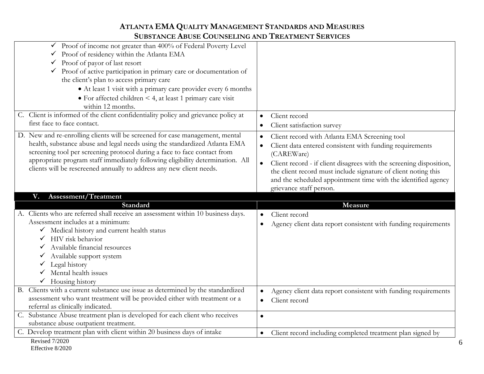| $\checkmark$ Proof of income not greater than 400% of Federal Poverty Level        |                                                                                  |
|------------------------------------------------------------------------------------|----------------------------------------------------------------------------------|
| Proof of residency within the Atlanta EMA                                          |                                                                                  |
| $\checkmark$ Proof of payor of last resort                                         |                                                                                  |
| ✔ Proof of active participation in primary care or documentation of                |                                                                                  |
| the client's plan to access primary care                                           |                                                                                  |
| • At least 1 visit with a primary care provider every 6 months                     |                                                                                  |
| $\bullet$ For affected children < 4, at least 1 primary care visit                 |                                                                                  |
| within 12 months.                                                                  |                                                                                  |
| C. Client is informed of the client confidentiality policy and grievance policy at | Client record                                                                    |
| first face to face contact.                                                        | Client satisfaction survey<br>$\bullet$                                          |
| D. New and re-enrolling clients will be screened for case management, mental       |                                                                                  |
| health, substance abuse and legal needs using the standardized Atlanta EMA         | Client record with Atlanta EMA Screening tool<br>$\bullet$                       |
| screening tool per screening protocol during a face to face contact from           | Client data entered consistent with funding requirements<br>$\bullet$            |
| appropriate program staff immediately following eligibility determination. All     | (CAREWare)                                                                       |
| clients will be rescreened annually to address any new client needs.               | $\bullet$<br>Client record - if client disagrees with the screening disposition, |
|                                                                                    | the client record must include signature of client noting this                   |
|                                                                                    | and the scheduled appointment time with the identified agency                    |
|                                                                                    | grievance staff person.                                                          |
|                                                                                    |                                                                                  |
| Assessment/Treatment<br>V.                                                         |                                                                                  |
| Standard                                                                           | Measure                                                                          |
| A. Clients who are referred shall receive an assessment within 10 business days.   | Client record                                                                    |
| Assessment includes at a minimum:                                                  | Agency client data report consistent with funding requirements                   |
| V Medical history and current health status                                        |                                                                                  |
| $\checkmark$ HIV risk behavior                                                     |                                                                                  |
| Available financial resources                                                      |                                                                                  |
| Available support system                                                           |                                                                                  |
| Legal history                                                                      |                                                                                  |
| Mental health issues                                                               |                                                                                  |
| $\checkmark$ Housing history                                                       |                                                                                  |
| B. Clients with a current substance use issue as determined by the standardized    | Agency client data report consistent with funding requirements                   |
| assessment who want treatment will be provided either with treatment or a          | Client record<br>$\bullet$                                                       |
| referral as clinically indicated.                                                  |                                                                                  |
| C. Substance Abuse treatment plan is developed for each client who receives        | $\bullet$                                                                        |
| substance abuse outpatient treatment.                                              |                                                                                  |
| C. Develop treatment plan with client within 20 business days of intake            | Client record including completed treatment plan signed by<br>$\bullet$          |
| <b>Revised 7/2020</b><br>Effective 8/2020                                          |                                                                                  |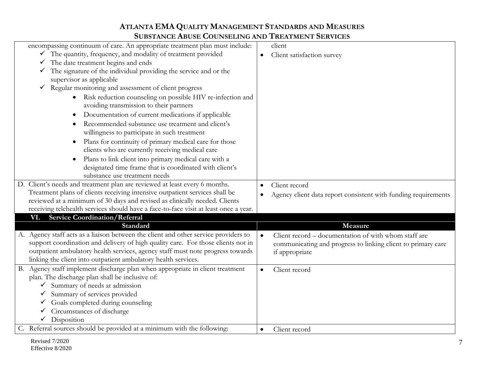| encompassing continuum of care. An appropriate treatment plan must include:          | client                                                            |
|--------------------------------------------------------------------------------------|-------------------------------------------------------------------|
| $\checkmark$ The quantity, frequency, and modality of treatment provided             | Client satisfaction survey                                        |
| The date treatment begins and ends<br>$\checkmark$                                   |                                                                   |
| The signature of the individual providing the service and or the<br>$\checkmark$     |                                                                   |
| supervisor as applicable                                                             |                                                                   |
| Regular monitoring and assessment of client progress<br>$\checkmark$                 |                                                                   |
| Risk reduction counseling on possible HIV re-infection and                           |                                                                   |
| avoiding transmission to their partners                                              |                                                                   |
| Documentation of current medications if applicable                                   |                                                                   |
| Recommended substance use treatment and client's                                     |                                                                   |
| willingness to participate in such treatment                                         |                                                                   |
| Plans for continuity of primary medical care for those                               |                                                                   |
| clients who are currently receiving medical care                                     |                                                                   |
| Plans to link client into primary medical care with a                                |                                                                   |
| designated time frame that is coordinated with client's                              |                                                                   |
| substance use treatment needs                                                        |                                                                   |
| D. Client's needs and treatment plan are reviewed at least every 6 months.           | Client record                                                     |
| Treatment plans of clients receiving intensive outpatient services shall be          | Agency client data report consistent with funding requirements    |
| reviewed at a minimum of 30 days and revised as clinically needed. Clients           |                                                                   |
| receiving telehealth services should have a face-to-face visit at least once a year. |                                                                   |
| VI. Service Coordination/Referral                                                    |                                                                   |
| Standard                                                                             | Measure                                                           |
| A. Agency staff acts as a liaison between the client and other service providers to  | Client record – documentation of with whom staff are<br>$\bullet$ |
| support coordination and delivery of high quality care. For those clients not in     | communicating and progress to linking client to primary care      |
| outpatient ambulatory health services, agency staff must note progress towards       | if appropriate                                                    |
| linking the client into outpatient ambulatory health services.                       |                                                                   |
| B. Agency staff implement discharge plan when appropriate in client treatment        | Client record                                                     |
| plan. The discharge plan shall be inclusive of:                                      |                                                                   |
| Summary of needs at admission<br>✓                                                   |                                                                   |
| Summary of services provided                                                         |                                                                   |
| Goals completed during counseling                                                    |                                                                   |
| Circumstances of discharge                                                           |                                                                   |
| Disposition                                                                          |                                                                   |
| C. Referral sources should be provided at a minimum with the following:              | Client record<br>$\bullet$                                        |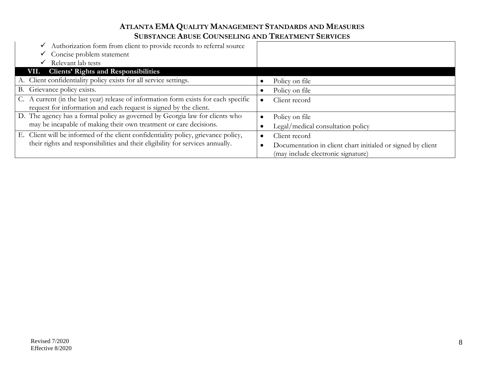| $\checkmark$ Authorization form from client to provide records to referral source<br>$\checkmark$ Concise problem statement |                                                             |
|-----------------------------------------------------------------------------------------------------------------------------|-------------------------------------------------------------|
| Relevant lab tests<br>✓                                                                                                     |                                                             |
| VII. Clients' Rights and Responsibilities                                                                                   |                                                             |
| A. Client confidentiality policy exists for all service settings.                                                           | Policy on file                                              |
| B. Grievance policy exists.                                                                                                 | Policy on file                                              |
| C. A current (in the last year) release of information form exists for each specific                                        | Client record                                               |
| request for information and each request is signed by the client.                                                           |                                                             |
| D. The agency has a formal policy as governed by Georgia law for clients who                                                | Policy on file                                              |
| may be incapable of making their own treatment or care decisions.                                                           | Legal/medical consultation policy                           |
| E. Client will be informed of the client confidentiality policy, grievance policy,                                          | Client record                                               |
| their rights and responsibilities and their eligibility for services annually.                                              | Documentation in client chart initialed or signed by client |
|                                                                                                                             | (may include electronic signature)                          |